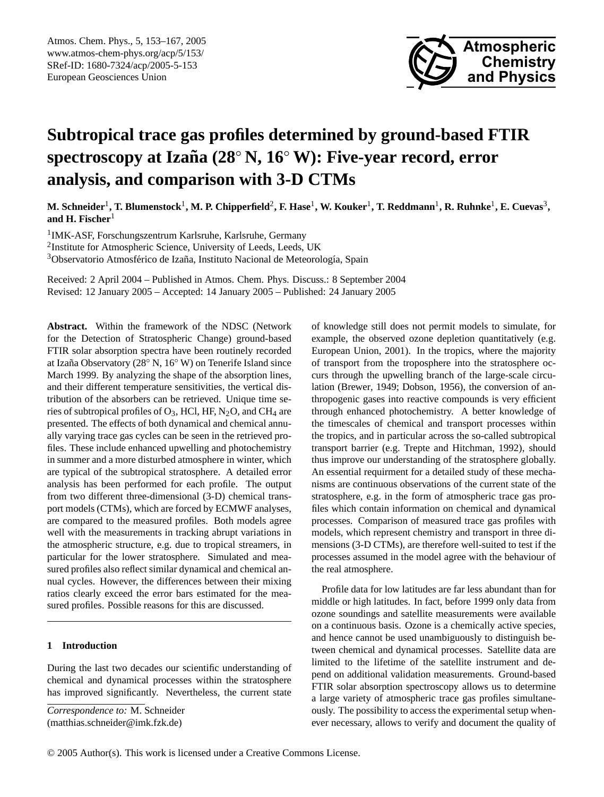

# **Subtropical trace gas profiles determined by ground-based FTIR spectroscopy at Izana (28 ˜** ◦ **N, 16**◦ **W): Five-year record, error analysis, and comparison with 3-D CTMs**

M. Schneider<sup>1</sup>, T. Blumenstock<sup>1</sup>, M. P. Chipperfield<sup>2</sup>, F. Hase<sup>1</sup>, W. Kouker<sup>1</sup>, T. Reddmann<sup>1</sup>, R. Ruhnke<sup>1</sup>, E. Cuevas<sup>3</sup>, **and H. Fischer**<sup>1</sup>

1 IMK-ASF, Forschungszentrum Karlsruhe, Karlsruhe, Germany <sup>2</sup>Institute for Atmospheric Science, University of Leeds, Leeds, UK <sup>3</sup>Observatorio Atmosférico de Izaña, Instituto Nacional de Meteorología, Spain

Received: 2 April 2004 – Published in Atmos. Chem. Phys. Discuss.: 8 September 2004 Revised: 12 January 2005 – Accepted: 14 January 2005 – Published: 24 January 2005

**Abstract.** Within the framework of the NDSC (Network for the Detection of Stratospheric Change) ground-based FTIR solar absorption spectra have been routinely recorded at Izaña Observatory (28° N, 16° W) on Tenerife Island since March 1999. By analyzing the shape of the absorption lines, and their different temperature sensitivities, the vertical distribution of the absorbers can be retrieved. Unique time series of subtropical profiles of  $O_3$ , HCl, HF, N<sub>2</sub>O, and CH<sub>4</sub> are presented. The effects of both dynamical and chemical annually varying trace gas cycles can be seen in the retrieved profiles. These include enhanced upwelling and photochemistry in summer and a more disturbed atmosphere in winter, which are typical of the subtropical stratosphere. A detailed error analysis has been performed for each profile. The output from two different three-dimensional (3-D) chemical transport models (CTMs), which are forced by ECMWF analyses, are compared to the measured profiles. Both models agree well with the measurements in tracking abrupt variations in the atmospheric structure, e.g. due to tropical streamers, in particular for the lower stratosphere. Simulated and measured profiles also reflect similar dynamical and chemical annual cycles. However, the differences between their mixing ratios clearly exceed the error bars estimated for the measured profiles. Possible reasons for this are discussed.

# **1 Introduction**

During the last two decades our scientific understanding of chemical and dynamical processes within the stratosphere has improved significantly. Nevertheless, the current state of knowledge still does not permit models to simulate, for example, the observed ozone depletion quantitatively (e.g. [European Union,](#page-13-0) [2001\)](#page-13-0). In the tropics, where the majority of transport from the troposphere into the stratosphere occurs through the upwelling branch of the large-scale circulation [\(Brewer,](#page-13-1) [1949;](#page-13-1) [Dobson,](#page-13-2) [1956\)](#page-13-2), the conversion of anthropogenic gases into reactive compounds is very efficient through enhanced photochemistry. A better knowledge of the timescales of chemical and transport processes within the tropics, and in particular across the so-called subtropical transport barrier (e.g. [Trepte and Hitchman,](#page-14-0) [1992\)](#page-14-0), should thus improve our understanding of the stratosphere globally. An essential requirment for a detailed study of these mechanisms are continuous observations of the current state of the stratosphere, e.g. in the form of atmospheric trace gas profiles which contain information on chemical and dynamical processes. Comparison of measured trace gas profiles with models, which represent chemistry and transport in three dimensions (3-D CTMs), are therefore well-suited to test if the processes assumed in the model agree with the behaviour of the real atmosphere.

Profile data for low latitudes are far less abundant than for middle or high latitudes. In fact, before 1999 only data from ozone soundings and satellite measurements were available on a continuous basis. Ozone is a chemically active species, and hence cannot be used unambiguously to distinguish between chemical and dynamical processes. Satellite data are limited to the lifetime of the satellite instrument and depend on additional validation measurements. Ground-based FTIR solar absorption spectroscopy allows us to determine a large variety of atmospheric trace gas profiles simultaneously. The possibility to access the experimental setup whenever necessary, allows to verify and document the quality of

<span id="page-0-0"></span>*Correspondence to:* M. Schneider (matthias.schneider@imk.fzk.de)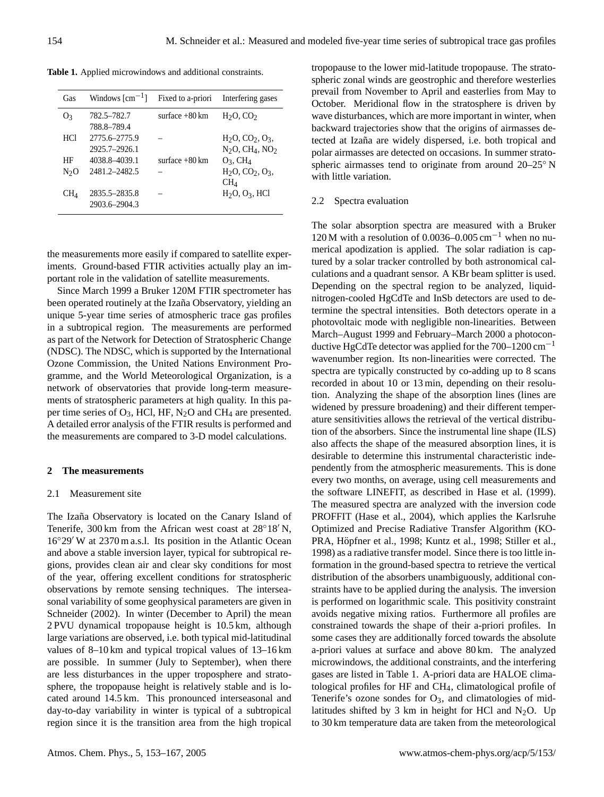**Table 1.** Applied microwindows and additional constraints.

<span id="page-1-0"></span>

| Gas             | Windows $\lceil$ cm <sup>-1</sup> $\rceil$ | Fixed to a-priori        | Interfering gases                                               |
|-----------------|--------------------------------------------|--------------------------|-----------------------------------------------------------------|
| O <sub>3</sub>  | 782.5–782.7<br>788.8–789.4                 | surface $+80 \text{ km}$ | $H2O$ , CO <sub>2</sub>                                         |
| HCl             | 2775.6-2775.9<br>2925.7-2926.1             |                          | $H_2O, CO_2, O_3,$<br>$N2O$ , CH <sub>4</sub> , NO <sub>2</sub> |
| HF              | 4038.8-4039.1                              | surface $+80$ km         | $O_3$ , CH <sub>4</sub>                                         |
| $N_2O$          | 2481.2-2482.5                              |                          | $H_2O, CO_2, O_3,$<br>CH <sub>4</sub>                           |
| CH <sub>4</sub> | 2835.5-2835.8<br>2903.6-2904.3             |                          | $H_2O$ , $O_3$ , HCl                                            |

the measurements more easily if compared to satellite experiments. Ground-based FTIR activities actually play an important role in the validation of satellite measurements.

Since March 1999 a Bruker 120M FTIR spectrometer has been operated routinely at the Izaña Observatory, yielding an unique 5-year time series of atmospheric trace gas profiles in a subtropical region. The measurements are performed as part of the Network for Detection of Stratospheric Change (NDSC). The NDSC, which is supported by the International Ozone Commission, the United Nations Environment Programme, and the World Meteorological Organization, is a network of observatories that provide long-term measurements of stratospheric parameters at high quality. In this paper time series of  $O_3$ , HCl, HF, N<sub>2</sub>O and CH<sub>4</sub> are presented. A detailed error analysis of the FTIR results is performed and the measurements are compared to 3-D model calculations.

## **2 The measurements**

#### 2.1 Measurement site

The Izaña Observatory is located on the Canary Island of Tenerife, 300 km from the African west coast at  $28^{\circ}18'$  N,  $16°29'$  W at  $2370$  m a.s.l. Its position in the Atlantic Ocean and above a stable inversion layer, typical for subtropical regions, provides clean air and clear sky conditions for most of the year, offering excellent conditions for stratospheric observations by remote sensing techniques. The interseasonal variability of some geophysical parameters are given in [Schneider](#page-14-1) [\(2002\)](#page-14-1). In winter (December to April) the mean 2 PVU dynamical tropopause height is 10.5 km, although large variations are observed, i.e. both typical mid-latitudinal values of 8–10 km and typical tropical values of 13–16 km are possible. In summer (July to September), when there are less disturbances in the upper troposphere and stratosphere, the tropopause height is relatively stable and is located around 14.5 km. This pronounced interseasonal and day-to-day variability in winter is typical of a subtropical region since it is the transition area from the high tropical tropopause to the lower mid-latitude tropopause. The stratospheric zonal winds are geostrophic and therefore westerlies prevail from November to April and easterlies from May to October. Meridional flow in the stratosphere is driven by wave disturbances, which are more important in winter, when backward trajectories show that the origins of airmasses detected at Izaña are widely dispersed, i.e. both tropical and polar airmasses are detected on occasions. In summer stratospheric airmasses tend to originate from around 20–25° N with little variation.

#### 2.2 Spectra evaluation

The solar absorption spectra are measured with a Bruker 120 M with a resolution of 0.0036–0.005 cm<sup>-1</sup> when no numerical apodization is applied. The solar radiation is captured by a solar tracker controlled by both astronomical calculations and a quadrant sensor. A KBr beam splitter is used. Depending on the spectral region to be analyzed, liquidnitrogen-cooled HgCdTe and InSb detectors are used to determine the spectral intensities. Both detectors operate in a photovoltaic mode with negligible non-linearities. Between March–August 1999 and February–March 2000 a photoconductive HgCdTe detector was applied for the  $700-1200$  cm<sup>-1</sup> wavenumber region. Its non-linearities were corrected. The spectra are typically constructed by co-adding up to 8 scans recorded in about 10 or 13 min, depending on their resolution. Analyzing the shape of the absorption lines (lines are widened by pressure broadening) and their different temperature sensitivities allows the retrieval of the vertical distribution of the absorbers. Since the instrumental line shape (ILS) also affects the shape of the measured absorption lines, it is desirable to determine this instrumental characteristic independently from the atmospheric measurements. This is done every two months, on average, using cell measurements and the software LINEFIT, as described in [Hase et al.](#page-13-3) [\(1999\)](#page-13-3). The measured spectra are analyzed with the inversion code PROFFIT [\(Hase et al.,](#page-13-4) [2004\)](#page-13-4), which applies the Karlsruhe Optimized and Precise Radiative Transfer Algorithm (KO-PRA, Höpfner et al., [1998;](#page-14-2) [Kuntz et al.,](#page-14-2) 1998; [Stiller et al.,](#page-14-3) [1998\)](#page-14-3) as a radiative transfer model. Since there is too little information in the ground-based spectra to retrieve the vertical distribution of the absorbers unambiguously, additional constraints have to be applied during the analysis. The inversion is performed on logarithmic scale. This positivity constraint avoids negative mixing ratios. Furthermore all profiles are constrained towards the shape of their a-priori profiles. In some cases they are additionally forced towards the absolute a-priori values at surface and above 80 km. The analyzed microwindows, the additional constraints, and the interfering gases are listed in Table [1.](#page-1-0) A-priori data are HALOE climatological profiles for HF and CH4, climatological profile of Tenerife's ozone sondes for  $O_3$ , and climatologies of midlatitudes shifted by 3 km in height for HCl and  $N_2O$ . Up to 30 km temperature data are taken from the meteorological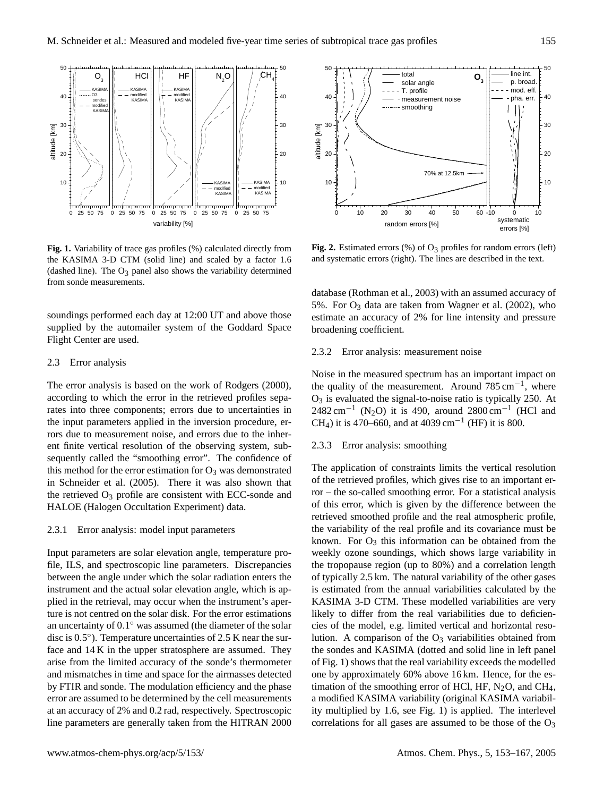

<span id="page-2-0"></span>**Fig. 1.** Variability of trace gas profiles (%) calculated directly from the KASIMA 3-D CTM (solid line) and scaled by a factor 1.6 (dashed line). The  $O_3$  panel also shows the variability determined from sonde measurements.

soundings performed each day at 12:00 UT and above those supplied by the automailer system of the Goddard Space Flight Center are used.

#### 2.3 Error analysis

The error analysis is based on the work of [Rodgers](#page-14-4) [\(2000\)](#page-14-4), according to which the error in the retrieved profiles separates into three components; errors due to uncertainties in the input parameters applied in the inversion procedure, errors due to measurement noise, and errors due to the inherent finite vertical resolution of the observing system, subsequently called the "smoothing error". The confidence of this method for the error estimation for  $O_3$  was demonstrated in [Schneider et al.](#page-14-5) [\(2005\)](#page-14-5). There it was also shown that the retrieved  $O_3$  profile are consistent with ECC-sonde and HALOE (Halogen Occultation Experiment) data.

#### 2.3.1 Error analysis: model input parameters

Input parameters are solar elevation angle, temperature profile, ILS, and spectroscopic line parameters. Discrepancies between the angle under which the solar radiation enters the instrument and the actual solar elevation angle, which is applied in the retrieval, may occur when the instrument's aperture is not centred on the solar disk. For the error estimations an uncertainty of  $0.1^{\circ}$  was assumed (the diameter of the solar disc is 0.5°). Temperature uncertainties of 2.5 K near the surface and 14 K in the upper stratosphere are assumed. They arise from the limited accuracy of the sonde's thermometer and mismatches in time and space for the airmasses detected by FTIR and sonde. The modulation efficiency and the phase error are assumed to be determined by the cell measurements at an accuracy of 2% and 0.2 rad, respectively. Spectroscopic line parameters are generally taken from the HITRAN 2000



<span id="page-2-1"></span>Fig. 2. Estimated errors (%) of O<sub>3</sub> profiles for random errors (left) and systematic errors (right). The lines are described in the text.

database [\(Rothman et al.,](#page-14-6) [2003\)](#page-14-6) with an assumed accuracy of 5%. For  $O_3$  data are taken from [Wagner et al.](#page-14-7) [\(2002\)](#page-14-7), who estimate an accuracy of 2% for line intensity and pressure broadening coefficient.

#### 2.3.2 Error analysis: measurement noise

Noise in the measured spectrum has an important impact on the quality of the measurement. Around  $785 \text{ cm}^{-1}$ , where  $O<sub>3</sub>$  is evaluated the signal-to-noise ratio is typically 250. At 2482 cm<sup>-1</sup> (N<sub>2</sub>O) it is 490, around 2800 cm<sup>-1</sup> (HCl and CH<sub>4</sub>) it is 470–660, and at 4039 cm<sup>-1</sup> (HF) it is 800.

## <span id="page-2-2"></span>2.3.3 Error analysis: smoothing

The application of constraints limits the vertical resolution of the retrieved profiles, which gives rise to an important error – the so-called smoothing error. For a statistical analysis of this error, which is given by the difference between the retrieved smoothed profile and the real atmospheric profile, the variability of the real profile and its covariance must be known. For  $O_3$  this information can be obtained from the weekly ozone soundings, which shows large variability in the tropopause region (up to 80%) and a correlation length of typically 2.5 km. The natural variability of the other gases is estimated from the annual variabilities calculated by the KASIMA 3-D CTM. These modelled variabilities are very likely to differ from the real variabilities due to deficiencies of the model, e.g. limited vertical and horizontal resolution. A comparison of the  $O_3$  variabilities obtained from the sondes and KASIMA (dotted and solid line in left panel of Fig. [1\)](#page-2-0) shows that the real variability exceeds the modelled one by approximately 60% above 16 km. Hence, for the estimation of the smoothing error of HCl, HF,  $N_2O$ , and CH<sub>4</sub>, a modified KASIMA variability (original KASIMA variability multiplied by 1.6, see Fig. [1\)](#page-2-0) is applied. The interlevel correlations for all gases are assumed to be those of the  $O<sub>3</sub>$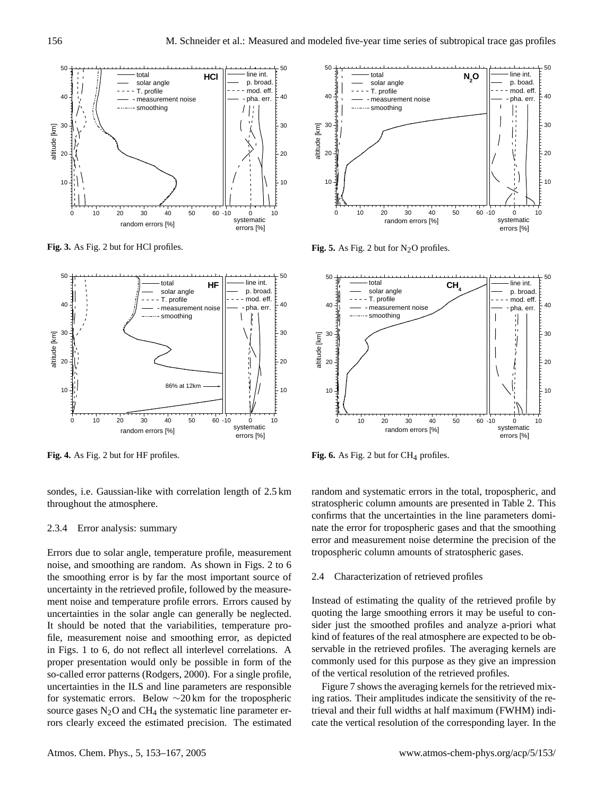

**Fig. 3.** As Fig. 2 but for HCl profiles.



**Fig. 4.** As Fig. 2 but for HF profiles.

sondes, i.e. Gaussian-like with correlation length of 2.5 km throughout the atmosphere.

#### 2.3.4 Error analysis: summary

Errors due to solar angle, temperature profile, measurement noise, and smoothing are random. As shown in Figs. [2](#page-2-1) to [6](#page-3-0) the smoothing error is by far the most important source of uncertainty in the retrieved profile, followed by the measurement noise and temperature profile errors. Errors caused by uncertainties in the solar angle can generally be neglected. It should be noted that the variabilities, temperature profile, measurement noise and smoothing error, as depicted in Figs. [1](#page-2-0) to [6,](#page-3-0) do not reflect all interlevel correlations. A proper presentation would only be possible in form of the so-called error patterns [\(Rodgers,](#page-14-4) [2000\)](#page-14-4). For a single profile, uncertainties in the ILS and line parameters are responsible for systematic errors. Below ∼20 km for the tropospheric source gases  $N_2O$  and CH<sub>4</sub> the systematic line parameter errors clearly exceed the estimated precision. The estimated



**Fig. 5.** As Fig. 2 but for  $N_2O$  profiles.



<span id="page-3-0"></span>Fig. 6. As Fig. 2 but for  $CH_4$  profiles.

random and systematic errors in the total, tropospheric, and stratospheric column amounts are presented in Table [2.](#page-4-0) This confirms that the uncertainties in the line parameters dominate the error for tropospheric gases and that the smoothing error and measurement noise determine the precision of the tropospheric column amounts of stratospheric gases.

#### <span id="page-3-1"></span>2.4 Characterization of retrieved profiles

Instead of estimating the quality of the retrieved profile by quoting the large smoothing errors it may be useful to consider just the smoothed profiles and analyze a-priori what kind of features of the real atmosphere are expected to be observable in the retrieved profiles. The averaging kernels are commonly used for this purpose as they give an impression of the vertical resolution of the retrieved profiles.

Figure [7](#page-4-1) shows the averaging kernels for the retrieved mixing ratios. Their amplitudes indicate the sensitivity of the retrieval and their full widths at half maximum (FWHM) indicate the vertical resolution of the corresponding layer. In the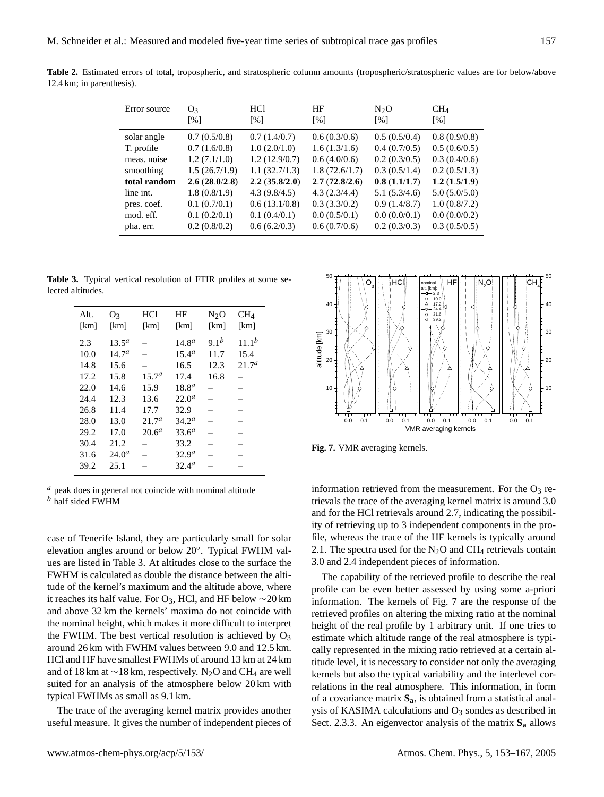| Error source | O <sub>3</sub> | <b>HCl</b>        | HF                | $N_2O$            | $CH_4$            |
|--------------|----------------|-------------------|-------------------|-------------------|-------------------|
|              | [%]            | $\lceil\% \rceil$ | $\lceil\% \rceil$ | $\lceil\% \rceil$ | $\lceil\% \rceil$ |
| solar angle  | 0.7(0.5/0.8)   | 0.7(1.4/0.7)      | 0.6(0.3/0.6)      | 0.5(0.5/0.4)      | 0.8(0.9/0.8)      |
| T. profile   | 0.7(1.6/0.8)   | 1.0(2.0/1.0)      | 1.6(1.3/1.6)      | 0.4(0.7/0.5)      | 0.5(0.6/0.5)      |
| meas, noise  | 1.2(7.1/1.0)   | 1.2(12.9/0.7)     | 0.6(4.0/0.6)      | 0.2(0.3/0.5)      | 0.3(0.4/0.6)      |
| smoothing    | 1.5(26.7/1.9)  | 1.1(32.7/1.3)     | 1.8(72.6/1.7)     | 0.3(0.5/1.4)      | 0.2(0.5/1.3)      |
| total random | 2.6(28.0/2.8)  | 2.2(35.8/2.0)     | 2.7(72.8/2.6)     | 0.8(1.1/1.7)      | 1.2(1.5/1.9)      |
| line int.    | 1.8(0.8/1.9)   | 4.3(9.8/4.5)      | 4.3(2.3/4.4)      | 5.1(5.3/4.6)      | 5.0(5.0/5.0)      |
| pres. coef.  | 0.1(0.7/0.1)   | 0.6(13.1/0.8)     | 0.3(3.3/0.2)      | 0.9(1.4/8.7)      | 1.0(0.8/7.2)      |
| mod. eff.    | 0.1(0.2/0.1)   | 0.1(0.4/0.1)      | 0.0(0.5/0.1)      | 0.0(0.0/0.1)      | 0.0(0.0/0.2)      |
| pha. err.    | 0.2(0.8/0.2)   | 0.6(6.2/0.3)      | 0.6(0.7/0.6)      | 0.2(0.3/0.3)      | 0.3(0.5/0.5)      |

<span id="page-4-0"></span>**Table 2.** Estimated errors of total, tropospheric, and stratospheric column amounts (tropospheric/stratospheric values are for below/above 12.4 km; in parenthesis).

**Table 3.** Typical vertical resolution of FTIR profiles at some selected altitudes.

<span id="page-4-2"></span>

| Alt.<br>[km]                                                                        | O3<br>[km]                                                                                                         | <b>HCl</b><br>[km]                                                         | ΗF<br>[km]                                                                                                                                                          | $N_2O$<br>[km]                           | CH <sub>4</sub><br>[km]                 |
|-------------------------------------------------------------------------------------|--------------------------------------------------------------------------------------------------------------------|----------------------------------------------------------------------------|---------------------------------------------------------------------------------------------------------------------------------------------------------------------|------------------------------------------|-----------------------------------------|
| 2.3<br>10.0<br>14.8<br>17.2<br>22.0<br>24.4<br>26.8<br>28.0<br>29.2<br>30.4<br>31.6 | $13.5^a$<br>14.7 <sup>a</sup><br>15.6<br>15.8<br>14.6<br>12.3<br>11.4<br>13.0<br>17.0<br>21.2<br>24.0 <sup>a</sup> | 15.7 <sup>a</sup><br>15.9<br>13.6<br>17.7<br>21.7 <sup>a</sup><br>$20.6^a$ | 14.8 <sup>a</sup><br>15.4 <sup>a</sup><br>16.5<br>17.4<br>$18.8^{\circ}$<br>22.0 <sup>a</sup><br>32.9<br>$34.2^a$<br>33.6 <sup>a</sup><br>33.2<br>32.9 <sup>a</sup> | 9.1 <sup>b</sup><br>11.7<br>12.3<br>16.8 | $11.1^{b}$<br>15.4<br>21.7 <sup>a</sup> |
| 39.2                                                                                | 25.1                                                                                                               |                                                                            | 32.4 <sup>a</sup>                                                                                                                                                   |                                          |                                         |

 $a$  peak does in general not coincide with nominal altitude  $b$  half sided FWHM

case of Tenerife Island, they are particularly small for solar elevation angles around or below 20◦ . Typical FWHM values are listed in Table [3.](#page-4-2) At altitudes close to the surface the FWHM is calculated as double the distance between the altitude of the kernel's maximum and the altitude above, where it reaches its half value. For O<sub>3</sub>, HCl, and HF below  $\sim$ 20 km and above 32 km the kernels' maxima do not coincide with the nominal height, which makes it more difficult to interpret the FWHM. The best vertical resolution is achieved by  $O_3$ around 26 km with FWHM values between 9.0 and 12.5 km. HCl and HF have smallest FWHMs of around 13 km at 24 km and of 18 km at  $\sim$ 18 km, respectively. N<sub>2</sub>O and CH<sub>4</sub> are well suited for an analysis of the atmosphere below 20 km with typical FWHMs as small as 9.1 km.

The trace of the averaging kernel matrix provides another useful measure. It gives the number of independent pieces of



<span id="page-4-1"></span>**Fig. 7.** VMR averaging kernels.

information retrieved from the measurement. For the  $O_3$  retrievals the trace of the averaging kernel matrix is around 3.0 and for the HCl retrievals around 2.7, indicating the possibility of retrieving up to 3 independent components in the profile, whereas the trace of the HF kernels is typically around 2.1. The spectra used for the  $N_2O$  and CH<sub>4</sub> retrievals contain 3.0 and 2.4 independent pieces of information.

The capability of the retrieved profile to describe the real profile can be even better assessed by using some a-priori information. The kernels of Fig. [7](#page-4-1) are the response of the retrieved profiles on altering the mixing ratio at the nominal height of the real profile by 1 arbitrary unit. If one tries to estimate which altitude range of the real atmosphere is typically represented in the mixing ratio retrieved at a certain altitude level, it is necessary to consider not only the averaging kernels but also the typical variability and the interlevel correlations in the real atmosphere. This information, in form of a covariance matrix **Sa**, is obtained from a statistical analysis of KASIMA calculations and  $O_3$  sondes as described in Sect. [2.3.3.](#page-2-2) An eigenvector analysis of the matrix **S<sup>a</sup>** allows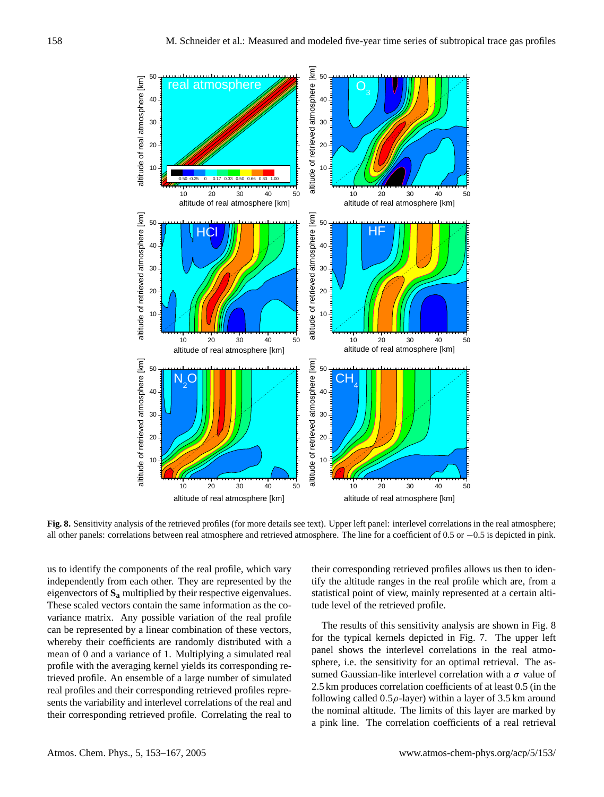

<span id="page-5-0"></span>**Fig. 8.** Sensitivity analysis of the retrieved profiles (for more details see text). Upper left panel: interlevel correlations in the real atmosphere; all other panels: correlations between real atmosphere and retrieved atmosphere. The line for a coefficient of 0.5 or −0.5 is depicted in pink.

us to identify the components of the real profile, which vary independently from each other. They are represented by the eigenvectors of **S<sup>a</sup>** multiplied by their respective eigenvalues. These scaled vectors contain the same information as the covariance matrix. Any possible variation of the real profile can be represented by a linear combination of these vectors, whereby their coefficients are randomly distributed with a mean of 0 and a variance of 1. Multiplying a simulated real profile with the averaging kernel yields its corresponding retrieved profile. An ensemble of a large number of simulated real profiles and their corresponding retrieved profiles represents the variability and interlevel correlations of the real and their corresponding retrieved profile. Correlating the real to their corresponding retrieved profiles allows us then to identify the altitude ranges in the real profile which are, from a statistical point of view, mainly represented at a certain altitude level of the retrieved profile.

The results of this sensitivity analysis are shown in Fig. [8](#page-5-0) for the typical kernels depicted in Fig. [7.](#page-4-1) The upper left panel shows the interlevel correlations in the real atmosphere, i.e. the sensitivity for an optimal retrieval. The assumed Gaussian-like interlevel correlation with a  $\sigma$  value of 2.5 km produces correlation coefficients of at least 0.5 (in the following called  $0.5\rho$ -layer) within a layer of 3.5 km around the nominal altitude. The limits of this layer are marked by a pink line. The correlation coefficients of a real retrieval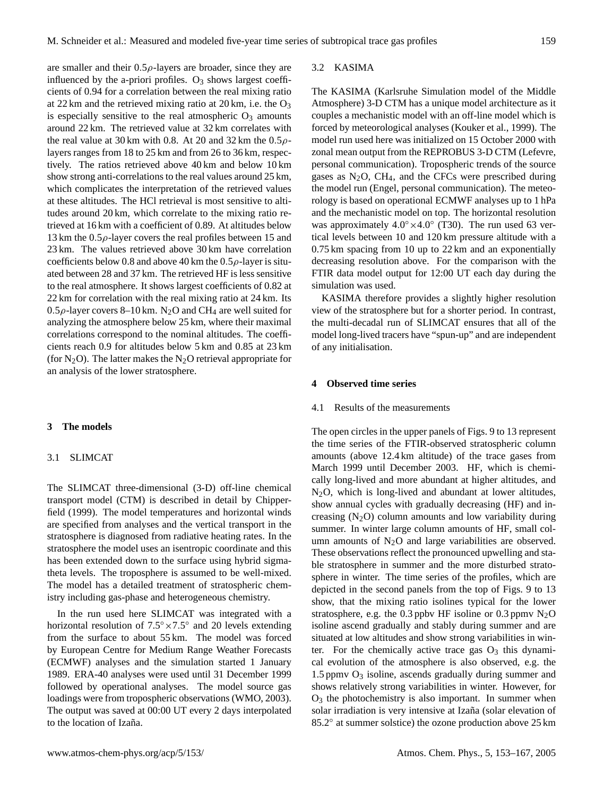are smaller and their  $0.5\rho$ -layers are broader, since they are influenced by the a-priori profiles.  $O_3$  shows largest coefficients of 0.94 for a correlation between the real mixing ratio at 22 km and the retrieved mixing ratio at  $20 \text{ km}$ , i.e. the  $\text{O}_3$ is especially sensitive to the real atmospheric  $O_3$  amounts around 22 km. The retrieved value at 32 km correlates with the real value at 30 km with 0.8. At 20 and 32 km the  $0.5\rho$ layers ranges from 18 to 25 km and from 26 to 36 km, respectively. The ratios retrieved above 40 km and below 10 km show strong anti-correlations to the real values around 25 km, which complicates the interpretation of the retrieved values at these altitudes. The HCl retrieval is most sensitive to altitudes around 20 km, which correlate to the mixing ratio retrieved at 16 km with a coefficient of 0.89. At altitudes below 13 km the  $0.5\rho$ -layer covers the real profiles between 15 and 23 km. The values retrieved above 30 km have correlation coefficients below 0.8 and above 40 km the  $0.5\rho$ -layer is situated between 28 and 37 km. The retrieved HF is less sensitive to the real atmosphere. It shows largest coefficients of 0.82 at 22 km for correlation with the real mixing ratio at 24 km. Its 0.5 $\rho$ -layer covers 8–10 km. N<sub>2</sub>O and CH<sub>4</sub> are well suited for analyzing the atmosphere below 25 km, where their maximal correlations correspond to the nominal altitudes. The coefficients reach 0.9 for altitudes below 5 km and 0.85 at 23 km (for  $N_2O$ ). The latter makes the  $N_2O$  retrieval appropriate for

an analysis of the lower stratosphere.

## **3 The models**

## 3.1 SLIMCAT

The SLIMCAT three-dimensional (3-D) off-line chemical transport model (CTM) is described in detail by [Chipper](#page-13-6)[field](#page-13-6) [\(1999\)](#page-13-6). The model temperatures and horizontal winds are specified from analyses and the vertical transport in the stratosphere is diagnosed from radiative heating rates. In the stratosphere the model uses an isentropic coordinate and this has been extended down to the surface using hybrid sigmatheta levels. The troposphere is assumed to be well-mixed. The model has a detailed treatment of stratospheric chemistry including gas-phase and heterogeneous chemistry.

In the run used here SLIMCAT was integrated with a horizontal resolution of  $7.5^{\circ} \times 7.5^{\circ}$  and 20 levels extending from the surface to about 55 km. The model was forced by European Centre for Medium Range Weather Forecasts (ECMWF) analyses and the simulation started 1 January 1989. ERA-40 analyses were used until 31 December 1999 followed by operational analyses. The model source gas loadings were from tropospheric observations [\(WMO,](#page-14-8) [2003\)](#page-14-8). The output was saved at 00:00 UT every 2 days interpolated to the location of Izaña.

## 3.2 KASIMA

The KASIMA (Karlsruhe Simulation model of the Middle Atmosphere) 3-D CTM has a unique model architecture as it couples a mechanistic model with an off-line model which is forced by meteorological analyses [\(Kouker et al.,](#page-14-9) [1999\)](#page-14-9). The model run used here was initialized on 15 October 2000 with zonal mean output from the REPROBUS 3-D CTM (Lefevre, personal communication). Tropospheric trends of the source gases as  $N_2O$ , CH<sub>4</sub>, and the CFCs were prescribed during the model run (Engel, personal communication). The meteorology is based on operational ECMWF analyses up to 1 hPa and the mechanistic model on top. The horizontal resolution was approximately  $4.0^{\circ} \times 4.0^{\circ}$  (T30). The run used 63 vertical levels between 10 and 120 km pressure altitude with a 0.75 km spacing from 10 up to 22 km and an exponentially decreasing resolution above. For the comparison with the FTIR data model output for 12:00 UT each day during the simulation was used.

KASIMA therefore provides a slightly higher resolution view of the stratosphere but for a shorter period. In contrast, the multi-decadal run of SLIMCAT ensures that all of the model long-lived tracers have "spun-up" and are independent of any initialisation.

## **4 Observed time series**

## 4.1 Results of the measurements

The open circles in the upper panels of Figs. [9](#page-7-0) to [13](#page-11-0) represent the time series of the FTIR-observed stratospheric column amounts (above 12.4 km altitude) of the trace gases from March 1999 until December 2003. HF, which is chemically long-lived and more abundant at higher altitudes, and N2O, which is long-lived and abundant at lower altitudes, show annual cycles with gradually decreasing (HF) and increasing  $(N_2O)$  column amounts and low variability during summer. In winter large column amounts of HF, small column amounts of  $N_2O$  and large variabilities are observed. These observations reflect the pronounced upwelling and stable stratosphere in summer and the more disturbed stratosphere in winter. The time series of the profiles, which are depicted in the second panels from the top of Figs. [9](#page-7-0) to [13](#page-11-0) show, that the mixing ratio isolines typical for the lower stratosphere, e.g. the 0.3 ppbv HF isoline or 0.3 ppmv  $N_2O$ isoline ascend gradually and stably during summer and are situated at low altitudes and show strong variabilities in winter. For the chemically active trace gas  $O_3$  this dynamical evolution of the atmosphere is also observed, e.g. the 1.5 ppmv  $O_3$  isoline, ascends gradually during summer and shows relatively strong variabilities in winter. However, for  $O<sub>3</sub>$  the photochemistry is also important. In summer when solar irradiation is very intensive at Izaña (solar elevation of 85.2° at summer solstice) the ozone production above 25 km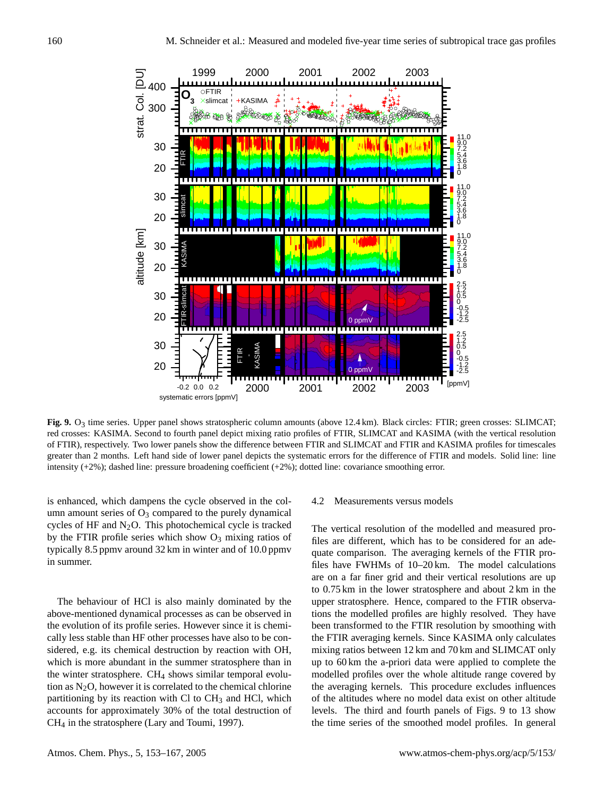

<span id="page-7-0"></span>**Fig. 9.** O3 time series. Upper panel shows stratospheric column amounts (above 12.4 km). Black circles: FTIR; green crosses: SLIMCAT; red crosses: KASIMA. Second to fourth panel depict mixing ratio profiles of FTIR, SLIMCAT and KASIMA (with the vertical resolution of FTIR), respectively. Two lower panels show the difference between FTIR and SLIMCAT and FTIR and KASIMA profiles for timescales greater than 2 months. Left hand side of lower panel depicts the systematic errors for the difference of FTIR and models. Solid line: line intensity (+2%); dashed line: pressure broadening coefficient (+2%); dotted line: covariance smoothing error.

is enhanced, which dampens the cycle observed in the column amount series of  $O_3$  compared to the purely dynamical cycles of HF and  $N_2O$ . This photochemical cycle is tracked by the FTIR profile series which show  $O_3$  mixing ratios of typically 8.5 ppmv around 32 km in winter and of 10.0 ppmv in summer.

The behaviour of HCl is also mainly dominated by the above-mentioned dynamical processes as can be observed in the evolution of its profile series. However since it is chemically less stable than HF other processes have also to be considered, e.g. its chemical destruction by reaction with OH, which is more abundant in the summer stratosphere than in the winter stratosphere.  $CH<sub>4</sub>$  shows similar temporal evolution as  $N_2O$ , however it is correlated to the chemical chlorine partitioning by its reaction with Cl to  $CH<sub>3</sub>$  and HCl, which accounts for approximately 30% of the total destruction of CH<sup>4</sup> in the stratosphere [\(Lary and Toumi,](#page-14-10) [1997\)](#page-14-10).

#### 4.2 Measurements versus models

The vertical resolution of the modelled and measured profiles are different, which has to be considered for an adequate comparison. The averaging kernels of the FTIR profiles have FWHMs of 10–20 km. The model calculations are on a far finer grid and their vertical resolutions are up to 0.75 km in the lower stratosphere and about 2 km in the upper stratosphere. Hence, compared to the FTIR observations the modelled profiles are highly resolved. They have been transformed to the FTIR resolution by smoothing with the FTIR averaging kernels. Since KASIMA only calculates mixing ratios between 12 km and 70 km and SLIMCAT only up to 60 km the a-priori data were applied to complete the modelled profiles over the whole altitude range covered by the averaging kernels. This procedure excludes influences of the altitudes where no model data exist on other altitude levels. The third and fourth panels of Figs. [9](#page-7-0) to [13](#page-11-0) show the time series of the smoothed model profiles. In general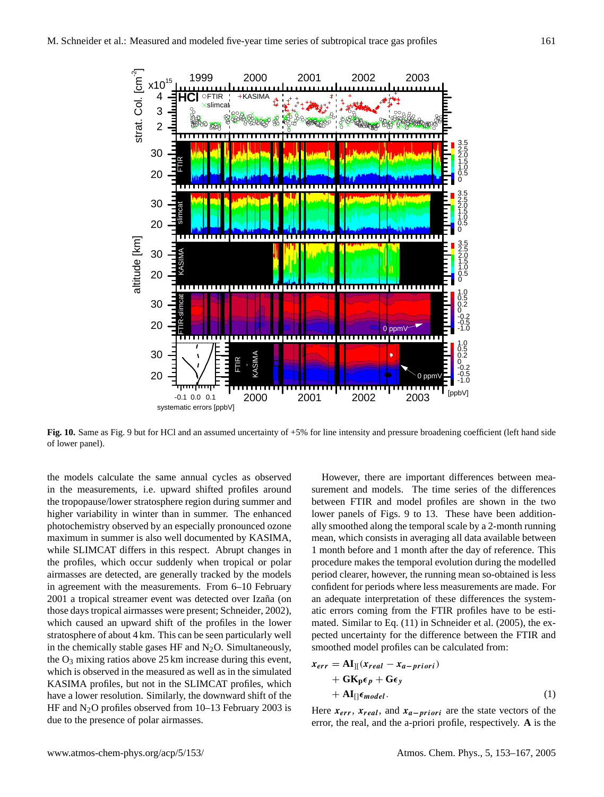

<span id="page-8-1"></span>**Fig. 10.** Same as Fig. [9](#page-7-0) but for HCl and an assumed uncertainty of +5% for line intensity and pressure broadening coefficient (left hand side of lower panel).

the models calculate the same annual cycles as observed in the measurements, i.e. upward shifted profiles around the tropopause/lower stratosphere region during summer and higher variability in winter than in summer. The enhanced photochemistry observed by an especially pronounced ozone maximum in summer is also well documented by KASIMA, while SLIMCAT differs in this respect. Abrupt changes in the profiles, which occur suddenly when tropical or polar airmasses are detected, are generally tracked by the models in agreement with the measurements. From 6–10 February 2001 a tropical streamer event was detected over Izaña (on those days tropical airmasses were present; [Schneider,](#page-14-1) [2002\)](#page-14-1), which caused an upward shift of the profiles in the lower stratosphere of about 4 km. This can be seen particularly well in the chemically stable gases HF and  $N_2O$ . Simultaneously, the  $O_3$  mixing ratios above 25 km increase during this event, which is observed in the measured as well as in the simulated KASIMA profiles, but not in the SLIMCAT profiles, which have a lower resolution. Similarly, the downward shift of the HF and  $N_2O$  profiles observed from 10–13 February 2003 is due to the presence of polar airmasses.

However, there are important differences between measurement and models. The time series of the differences between FTIR and model profiles are shown in the two lower panels of Figs. [9](#page-7-0) to [13.](#page-11-0) These have been additionally smoothed along the temporal scale by a 2-month running mean, which consists in averaging all data available between 1 month before and 1 month after the day of reference. This procedure makes the temporal evolution during the modelled period clearer, however, the running mean so-obtained is less confident for periods where less measurements are made. For an adequate interpretation of these differences the systematic errors coming from the FTIR profiles have to be estimated. Similar to Eq. (11) in [Schneider et al.](#page-14-5) [\(2005\)](#page-14-5), the expected uncertainty for the difference between the FTIR and smoothed model profiles can be calculated from:

<span id="page-8-0"></span>
$$
x_{err} = A I_{\parallel}(x_{real} - x_{a-priori})
$$
  
+ 
$$
G K_{p} \epsilon_{p} + G \epsilon_{y}
$$
  
+ 
$$
A I_{\parallel} \epsilon_{model}.
$$
 (1)

Here  $x_{err}$ ,  $x_{real}$ , and  $x_{a-priori}$  are the state vectors of the error, the real, and the a-priori profile, respectively. **A** is the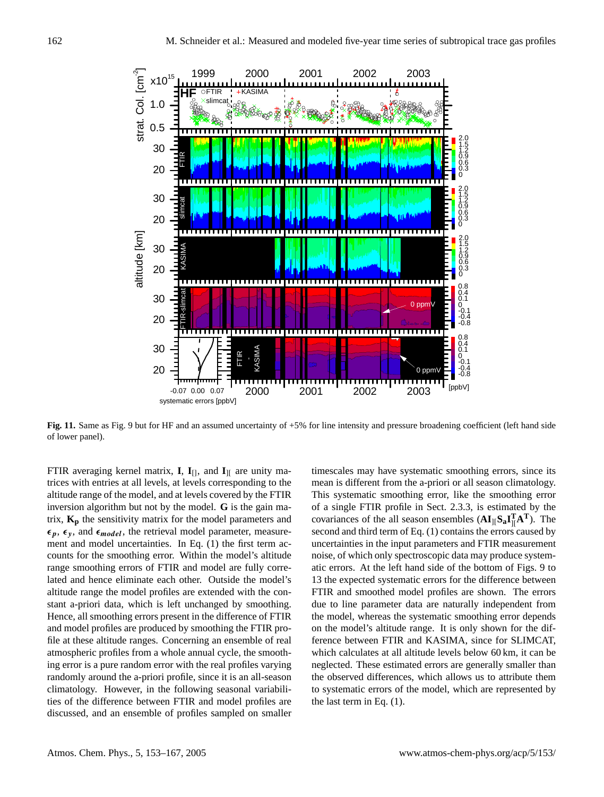

<span id="page-9-0"></span>**Fig. 11.** Same as Fig. [9](#page-7-0) but for HF and an assumed uncertainty of +5% for line intensity and pressure broadening coefficient (left hand side of lower panel).

FTIR averaging kernel matrix, **I**,  $\mathbf{I}_{[]}$ , and  $\mathbf{I}_{]I}$  are unity matrices with entries at all levels, at levels corresponding to the altitude range of the model, and at levels covered by the FTIR inversion algorithm but not by the model. **G** is the gain matrix, **K<sup>p</sup>** the sensitivity matrix for the model parameters and  $\epsilon_p$ ,  $\epsilon_y$ , and  $\epsilon_{model}$ , the retrieval model parameter, measurement and model uncertainties. In Eq. [\(1\)](#page-8-0) the first term accounts for the smoothing error. Within the model's altitude range smoothing errors of FTIR and model are fully correlated and hence eliminate each other. Outside the model's altitude range the model profiles are extended with the constant a-priori data, which is left unchanged by smoothing. Hence, all smoothing errors present in the difference of FTIR and model profiles are produced by smoothing the FTIR profile at these altitude ranges. Concerning an ensemble of real atmospheric profiles from a whole annual cycle, the smoothing error is a pure random error with the real profiles varying randomly around the a-priori profile, since it is an all-season climatology. However, in the following seasonal variabilities of the difference between FTIR and model profiles are discussed, and an ensemble of profiles sampled on smaller timescales may have systematic smoothing errors, since its mean is different from the a-priori or all season climatology. This systematic smoothing error, like the smoothing error of a single FTIR profile in Sect. [2.3.3,](#page-2-2) is estimated by the covariances of the all season ensembles  $(AI_{\parallel}S_{a}I_{\parallel}^{T}A^{T})$ . The second and third term of Eq. [\(1\)](#page-8-0) contains the errors caused by uncertainties in the input parameters and FTIR measurement noise, of which only spectroscopic data may produce systematic errors. At the left hand side of the bottom of Figs. [9](#page-7-0) to [13](#page-11-0) the expected systematic errors for the difference between FTIR and smoothed model profiles are shown. The errors due to line parameter data are naturally independent from the model, whereas the systematic smoothing error depends on the model's altitude range. It is only shown for the difference between FTIR and KASIMA, since for SLIMCAT, which calculates at all altitude levels below 60 km, it can be neglected. These estimated errors are generally smaller than the observed differences, which allows us to attribute them to systematic errors of the model, which are represented by the last term in Eq. [\(1\)](#page-8-0).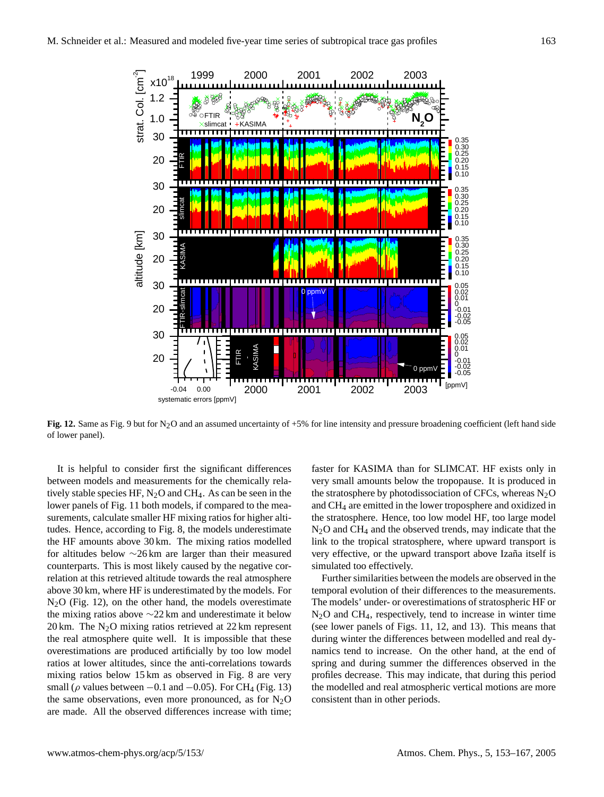

<span id="page-10-0"></span>**Fig. 12.** Same as Fig. [9](#page-7-0) but for N<sub>2</sub>O and an assumed uncertainty of +5% for line intensity and pressure broadening coefficient (left hand side of lower panel).

It is helpful to consider first the significant differences between models and measurements for the chemically relatively stable species HF,  $N_2O$  and CH<sub>4</sub>. As can be seen in the lower panels of Fig. [11](#page-9-0) both models, if compared to the measurements, calculate smaller HF mixing ratios for higher altitudes. Hence, according to Fig. [8,](#page-5-0) the models underestimate the HF amounts above 30 km. The mixing ratios modelled for altitudes below ∼26 km are larger than their measured counterparts. This is most likely caused by the negative correlation at this retrieved altitude towards the real atmosphere above 30 km, where HF is underestimated by the models. For  $N<sub>2</sub>O$  (Fig. [12\)](#page-10-0), on the other hand, the models overestimate the mixing ratios above ∼22 km and underestimate it below 20 km. The  $N_2O$  mixing ratios retrieved at 22 km represent the real atmosphere quite well. It is impossible that these overestimations are produced artificially by too low model ratios at lower altitudes, since the anti-correlations towards mixing ratios below 15 km as observed in Fig. [8](#page-5-0) are very small ( $\rho$  values between −0.1 and −0.05). For CH<sub>4</sub> (Fig. [13\)](#page-11-0) the same observations, even more pronounced, as for  $N_2O$ are made. All the observed differences increase with time; faster for KASIMA than for SLIMCAT. HF exists only in very small amounts below the tropopause. It is produced in the stratosphere by photodissociation of CFCs, whereas  $N_2O$ and CH<sup>4</sup> are emitted in the lower troposphere and oxidized in the stratosphere. Hence, too low model HF, too large model  $N_2O$  and CH<sub>4</sub> and the observed trends, may indicate that the link to the tropical stratosphere, where upward transport is very effective, or the upward transport above Izaña itself is simulated too effectively.

Further similarities between the models are observed in the temporal evolution of their differences to the measurements. The models' under- or overestimations of stratospheric HF or N2O and CH4, respectively, tend to increase in winter time (see lower panels of Figs. [11,](#page-9-0) [12,](#page-10-0) and [13\)](#page-11-0). This means that during winter the differences between modelled and real dynamics tend to increase. On the other hand, at the end of spring and during summer the differences observed in the profiles decrease. This may indicate, that during this period the modelled and real atmospheric vertical motions are more consistent than in other periods.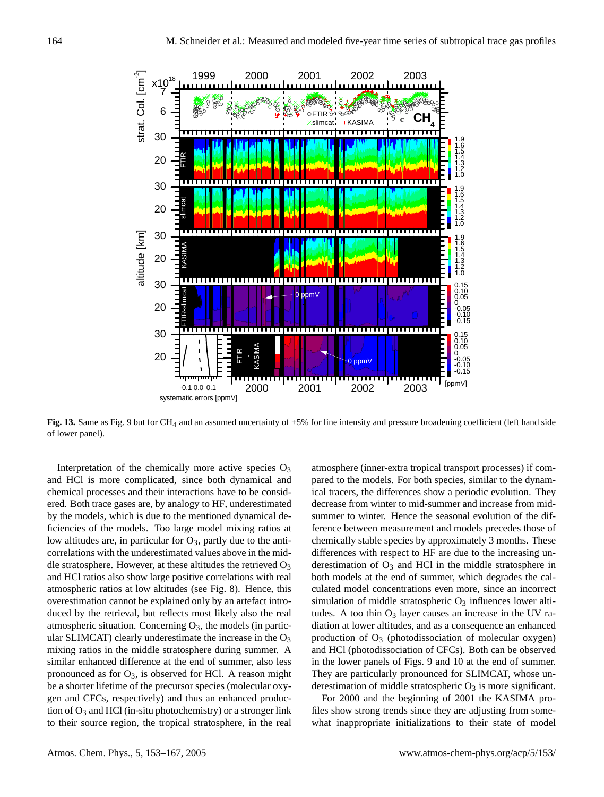

<span id="page-11-0"></span>Fig. 13. Same as Fig. [9](#page-7-0) but for CH<sub>4</sub> and an assumed uncertainty of +5% for line intensity and pressure broadening coefficient (left hand side of lower panel).

Interpretation of the chemically more active species  $O_3$ and HCl is more complicated, since both dynamical and chemical processes and their interactions have to be considered. Both trace gases are, by analogy to HF, underestimated by the models, which is due to the mentioned dynamical deficiencies of the models. Too large model mixing ratios at low altitudes are, in particular for  $O_3$ , partly due to the anticorrelations with the underestimated values above in the middle stratosphere. However, at these altitudes the retrieved  $O_3$ and HCl ratios also show large positive correlations with real atmospheric ratios at low altitudes (see Fig. [8\)](#page-5-0). Hence, this overestimation cannot be explained only by an artefact introduced by the retrieval, but reflects most likely also the real atmospheric situation. Concerning  $O_3$ , the models (in particular SLIMCAT) clearly underestimate the increase in the  $O_3$ mixing ratios in the middle stratosphere during summer. A similar enhanced difference at the end of summer, also less pronounced as for  $O_3$ , is observed for HCl. A reason might be a shorter lifetime of the precursor species (molecular oxygen and CFCs, respectively) and thus an enhanced production of  $O_3$  and HCl (in-situ photochemistry) or a stronger link to their source region, the tropical stratosphere, in the real atmosphere (inner-extra tropical transport processes) if compared to the models. For both species, similar to the dynamical tracers, the differences show a periodic evolution. They decrease from winter to mid-summer and increase from midsummer to winter. Hence the seasonal evolution of the difference between measurement and models precedes those of chemically stable species by approximately 3 months. These differences with respect to HF are due to the increasing underestimation of  $O_3$  and HCl in the middle stratosphere in both models at the end of summer, which degrades the calculated model concentrations even more, since an incorrect simulation of middle stratospheric  $O_3$  influences lower altitudes. A too thin  $O_3$  layer causes an increase in the UV radiation at lower altitudes, and as a consequence an enhanced production of  $O_3$  (photodissociation of molecular oxygen) and HCl (photodissociation of CFCs). Both can be observed in the lower panels of Figs. [9](#page-7-0) and [10](#page-8-1) at the end of summer. They are particularly pronounced for SLIMCAT, whose underestimation of middle stratospheric  $O_3$  is more significant.

For 2000 and the beginning of 2001 the KASIMA profiles show strong trends since they are adjusting from somewhat inappropriate initializations to their state of model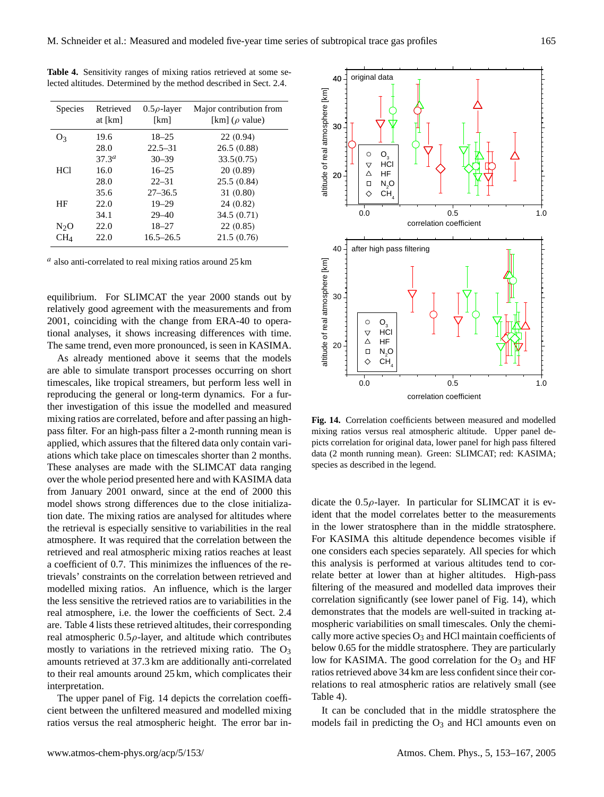| <b>Species</b> | Retrieved<br>at [km] | $0.5\rho$ -layer<br>[km] | Major contribution from<br>[km] ( $\rho$ value) |
|----------------|----------------------|--------------------------|-------------------------------------------------|
| O٩             | 19.6                 | $18 - 25$                | 22(0.94)                                        |
|                | 28.0                 | $22.5 - 31$              | 26.5(0.88)                                      |
|                | $37.3^{a}$           | $30 - 39$                | 33.5(0.75)                                      |
| <b>HCl</b>     | 16.0                 | $16 - 25$                | 20(0.89)                                        |
|                | 28.0                 | $22 - 31$                | 25.5(0.84)                                      |
|                | 35.6                 | $27 - 36.5$              | 31(0.80)                                        |
| ΗF             | 22.0                 | $19 - 29$                | 24(0.82)                                        |
|                | 34.1                 | $29 - 40$                | 34.5(0.71)                                      |
| $N_2O$         | 22.0                 | $18 - 27$                | 22(0.85)                                        |
| $\rm CH_{4}$   | 22.0                 | $16.5 - 26.5$            | 21.5(0.76)                                      |

<span id="page-12-0"></span>**Table 4.** Sensitivity ranges of mixing ratios retrieved at some selected altitudes. Determined by the method described in Sect. [2.4.](#page-3-1)

 $a$  also anti-correlated to real mixing ratios around 25 km

equilibrium. For SLIMCAT the year 2000 stands out by relatively good agreement with the measurements and from 2001, coinciding with the change from ERA-40 to operational analyses, it shows increasing differences with time. The same trend, even more pronounced, is seen in KASIMA.

As already mentioned above it seems that the models are able to simulate transport processes occurring on short timescales, like tropical streamers, but perform less well in reproducing the general or long-term dynamics. For a further investigation of this issue the modelled and measured mixing ratios are correlated, before and after passing an highpass filter. For an high-pass filter a 2-month running mean is applied, which assures that the filtered data only contain variations which take place on timescales shorter than 2 months. These analyses are made with the SLIMCAT data ranging over the whole period presented here and with KASIMA data from January 2001 onward, since at the end of 2000 this model shows strong differences due to the close initialization date. The mixing ratios are analysed for altitudes where the retrieval is especially sensitive to variabilities in the real atmosphere. It was required that the correlation between the retrieved and real atmospheric mixing ratios reaches at least a coefficient of 0.7. This minimizes the influences of the retrievals' constraints on the correlation between retrieved and modelled mixing ratios. An influence, which is the larger the less sensitive the retrieved ratios are to variabilities in the real atmosphere, i.e. the lower the coefficients of Sect. [2.4](#page-3-1) are. Table [4](#page-12-0) lists these retrieved altitudes, their corresponding real atmospheric  $0.5\rho$ -layer, and altitude which contributes mostly to variations in the retrieved mixing ratio. The  $O_3$ amounts retrieved at 37.3 km are additionally anti-correlated to their real amounts around 25 km, which complicates their interpretation.

The upper panel of Fig. [14](#page-12-1) depicts the correlation coefficient between the unfiltered measured and modelled mixing ratios versus the real atmospheric height. The error bar in-



<span id="page-12-1"></span>**Fig. 14.** Correlation coefficients between measured and modelled mixing ratios versus real atmospheric altitude. Upper panel depicts correlation for original data, lower panel for high pass filtered data (2 month running mean). Green: SLIMCAT; red: KASIMA; species as described in the legend.

dicate the  $0.5\rho$ -layer. In particular for SLIMCAT it is evident that the model correlates better to the measurements in the lower stratosphere than in the middle stratosphere. For KASIMA this altitude dependence becomes visible if one considers each species separately. All species for which this analysis is performed at various altitudes tend to correlate better at lower than at higher altitudes. High-pass filtering of the measured and modelled data improves their correlation significantly (see lower panel of Fig. [14\)](#page-12-1), which demonstrates that the models are well-suited in tracking atmospheric variabilities on small timescales. Only the chemically more active species  $O_3$  and HCl maintain coefficients of below 0.65 for the middle stratosphere. They are particularly low for KASIMA. The good correlation for the  $O_3$  and HF ratios retrieved above 34 km are less confident since their correlations to real atmospheric ratios are relatively small (see Table [4\)](#page-12-0).

It can be concluded that in the middle stratosphere the models fail in predicting the  $O_3$  and HCl amounts even on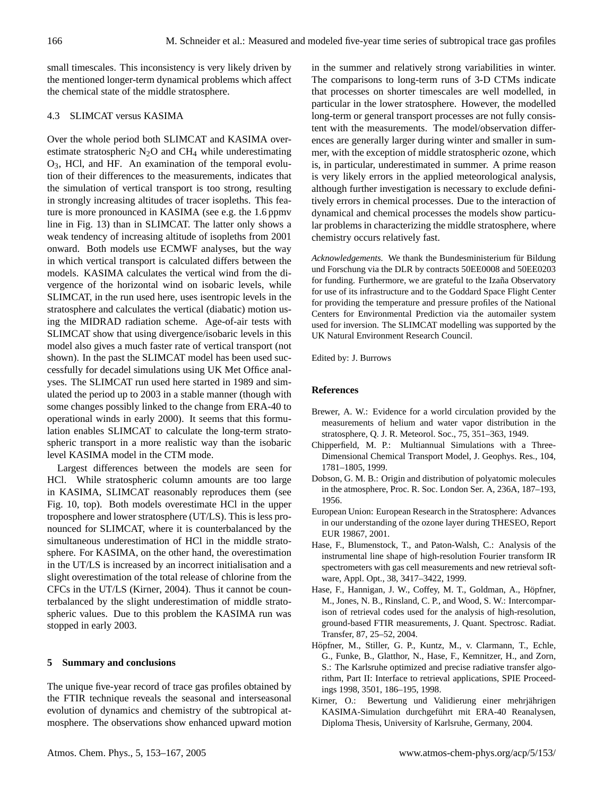small timescales. This inconsistency is very likely driven by the mentioned longer-term dynamical problems which affect the chemical state of the middle stratosphere.

# 4.3 SLIMCAT versus KASIMA

Over the whole period both SLIMCAT and KASIMA overestimate stratospheric  $N_2O$  and  $CH_4$  while underestimating O3, HCl, and HF. An examination of the temporal evolution of their differences to the measurements, indicates that the simulation of vertical transport is too strong, resulting in strongly increasing altitudes of tracer isopleths. This feature is more pronounced in KASIMA (see e.g. the 1.6 ppmv line in Fig. [13\)](#page-11-0) than in SLIMCAT. The latter only shows a weak tendency of increasing altitude of isopleths from 2001 onward. Both models use ECMWF analyses, but the way in which vertical transport is calculated differs between the models. KASIMA calculates the vertical wind from the divergence of the horizontal wind on isobaric levels, while SLIMCAT, in the run used here, uses isentropic levels in the stratosphere and calculates the vertical (diabatic) motion using the MIDRAD radiation scheme. Age-of-air tests with SLIMCAT show that using divergence/isobaric levels in this model also gives a much faster rate of vertical transport (not shown). In the past the SLIMCAT model has been used successfully for decadel simulations using UK Met Office analyses. The SLIMCAT run used here started in 1989 and simulated the period up to 2003 in a stable manner (though with some changes possibly linked to the change from ERA-40 to operational winds in early 2000). It seems that this formulation enables SLIMCAT to calculate the long-term stratospheric transport in a more realistic way than the isobaric level KASIMA model in the CTM mode.

Largest differences between the models are seen for HCl. While stratospheric column amounts are too large in KASIMA, SLIMCAT reasonably reproduces them (see Fig. [10,](#page-8-1) top). Both models overestimate HCl in the upper troposphere and lower stratosphere (UT/LS). This is less pronounced for SLIMCAT, where it is counterbalanced by the simultaneous underestimation of HCl in the middle stratosphere. For KASIMA, on the other hand, the overestimation in the UT/LS is increased by an incorrect initialisation and a slight overestimation of the total release of chlorine from the CFCs in the UT/LS [\(Kirner,](#page-13-7) [2004\)](#page-13-7). Thus it cannot be counterbalanced by the slight underestimation of middle stratospheric values. Due to this problem the KASIMA run was stopped in early 2003.

#### **5 Summary and conclusions**

The unique five-year record of trace gas profiles obtained by the FTIR technique reveals the seasonal and interseasonal evolution of dynamics and chemistry of the subtropical atmosphere. The observations show enhanced upward motion in the summer and relatively strong variabilities in winter. The comparisons to long-term runs of 3-D CTMs indicate that processes on shorter timescales are well modelled, in particular in the lower stratosphere. However, the modelled long-term or general transport processes are not fully consistent with the measurements. The model/observation differences are generally larger during winter and smaller in summer, with the exception of middle stratospheric ozone, which is, in particular, underestimated in summer. A prime reason is very likely errors in the applied meteorological analysis, although further investigation is necessary to exclude definitively errors in chemical processes. Due to the interaction of dynamical and chemical processes the models show particular problems in characterizing the middle stratosphere, where chemistry occurs relatively fast.

*Acknowledgements.* We thank the Bundesministerium für Bildung und Forschung via the DLR by contracts 50EE0008 and 50EE0203 for funding. Furthermore, we are grateful to the Izaña Observatory for use of its infrastructure and to the Goddard Space Flight Center for providing the temperature and pressure profiles of the National Centers for Environmental Prediction via the automailer system used for inversion. The SLIMCAT modelling was supported by the UK Natural Environment Research Council.

Edited by: J. Burrows

## **References**

- <span id="page-13-1"></span>Brewer, A. W.: Evidence for a world circulation provided by the measurements of helium and water vapor distribution in the stratosphere, Q. J. R. Meteorol. Soc., 75, 351–363, 1949.
- <span id="page-13-6"></span>Chipperfield, M. P.: Multiannual Simulations with a Three-Dimensional Chemical Transport Model, J. Geophys. Res., 104, 1781–1805, 1999.
- <span id="page-13-2"></span>Dobson, G. M. B.: Origin and distribution of polyatomic molecules in the atmosphere, Proc. R. Soc. London Ser. A, 236A, 187–193, 1956.
- <span id="page-13-0"></span>European Union: European Research in the Stratosphere: Advances in our understanding of the ozone layer during THESEO, Report EUR 19867, 2001.
- <span id="page-13-3"></span>Hase, F., Blumenstock, T., and Paton-Walsh, C.: Analysis of the instrumental line shape of high-resolution Fourier transform IR spectrometers with gas cell measurements and new retrieval software, Appl. Opt., 38, 3417–3422, 1999.
- <span id="page-13-4"></span>Hase, F., Hannigan, J. W., Coffey, M. T., Goldman, A., Höpfner, M., Jones, N. B., Rinsland, C. P., and Wood, S. W.: Intercomparison of retrieval codes used for the analysis of high-resolution, ground-based FTIR measurements, J. Quant. Spectrosc. Radiat. Transfer, 87, 25–52, 2004.
- <span id="page-13-5"></span>Höpfner, M., Stiller, G. P., Kuntz, M., v. Clarmann, T., Echle, G., Funke, B., Glatthor, N., Hase, F., Kemnitzer, H., and Zorn, S.: The Karlsruhe optimized and precise radiative transfer algorithm, Part II: Interface to retrieval applications, SPIE Proceedings 1998, 3501, 186–195, 1998.
- <span id="page-13-7"></span>Kirner, O.: Bewertung und Validierung einer mehrjährigen KASIMA-Simulation durchgeführt mit ERA-40 Reanalysen, Diploma Thesis, University of Karlsruhe, Germany, 2004.